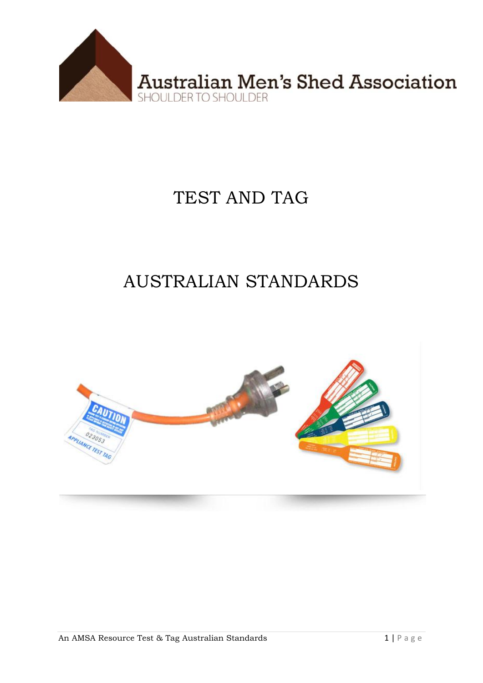

## TEST AND TAG

# **AUSTRALIAN STANDARDS**

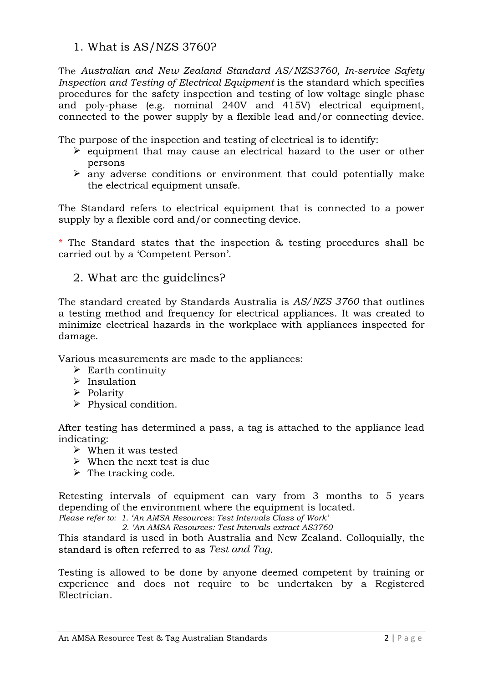1. What is AS/NZS 3760?

The *Australian and New Zealand Standard AS/NZS3760, In-service Safety Inspection and Testing of Electrical Equipment* is the standard which specifies procedures for the safety inspection and testing of low voltage single phase and poly-phase (e.g. nominal 240V and 415V) electrical equipment, connected to the power supply by a flexible lead and/or connecting device.

The purpose of the inspection and testing of electrical is to identify:

- $\triangleright$  equipment that may cause an electrical hazard to the user or other persons
- $\triangleright$  any adverse conditions or environment that could potentially make the electrical equipment unsafe.

The Standard refers to electrical equipment that is connected to a power supply by a flexible cord and/or connecting device.

\* The Standard states that the inspection & testing procedures shall be carried out by a 'Competent Person'.

2. What are the guidelines?

The standard created by Standards Australia is *AS/NZS 3760* that outlines a testing method and frequency for electrical appliances. It was created to minimize electrical hazards in the workplace with appliances inspected for damage.

Various measurements are made to the appliances:

- $\triangleright$  Earth continuity
- $\triangleright$  Insulation
- $\triangleright$  Polarity
- $\triangleright$  Physical condition.

After testing has determined a pass, a tag is attached to the appliance lead indicating:

- When it was tested
- $\triangleright$  When the next test is due
- $\triangleright$  The tracking code.

Retesting intervals of equipment can vary from 3 months to 5 years depending of the environment where the equipment is located.

*Please refer to: 1. 'An AMSA Resources: Test Intervals Class of Work'*

 *2. 'An AMSA Resources: Test Intervals extract AS3760*

This standard is used in both Australia and New Zealand. Colloquially, the standard is often referred to as *Test and Tag*.

Testing is allowed to be done by anyone deemed competent by training or experience and does not require to be undertaken by a Registered Electrician.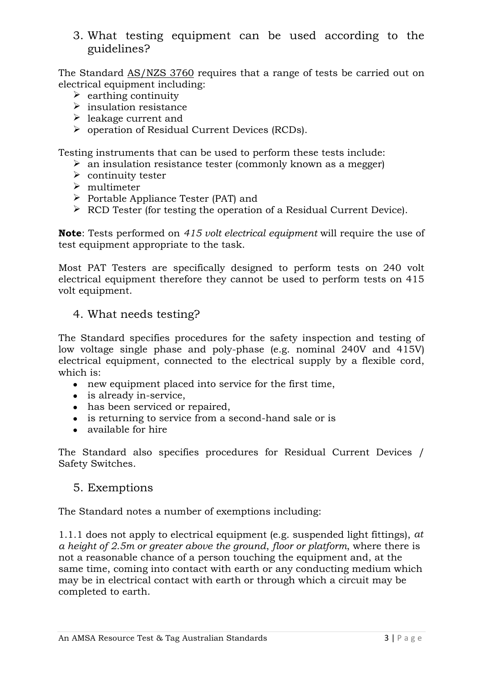3. What testing equipment can be used according to the guidelines?

The Standard [AS/NZS 3760](http://abctestandtag.com.au/faq/index.php?action=artikel&cat=3&id=10&artlang=en) requires that a range of tests be carried out on electrical equipment including:

- $\triangleright$  earthing continuity
- $\triangleright$  insulation resistance
- $\blacktriangleright$  leakage current and
- operation of Residual Current Devices (RCDs).

Testing instruments that can be used to perform these tests include:

- $\geq$  an insulation resistance tester (commonly known as a megger)
- $\triangleright$  continuity tester
- $\triangleright$  multimeter
- $\triangleright$  Portable Appliance Tester (PAT) and
- $\triangleright$  RCD Tester (for testing the operation of a Residual Current Device).

**Note**: Tests performed on *415 volt electrical equipment* will require the use of test equipment appropriate to the task.

Most PAT Testers are specifically designed to perform tests on 240 volt electrical equipment therefore they cannot be used to perform tests on 415 volt equipment.

#### 4. What needs testing?

The Standard specifies procedures for the safety inspection and testing of low voltage single phase and poly-phase (e.g. nominal 240V and 415V) electrical equipment, connected to the electrical supply by a flexible cord, which is:

- new equipment placed into service for the first time,
- is already in-service.
- has been serviced or repaired,
- is returning to service from a second-hand sale or is
- available for hire

The Standard also specifies procedures for Residual Current Devices / Safety Switches.

#### 5. Exemptions

The Standard notes a number of exemptions including:

1.1.1 does not apply to electrical equipment (e.g. suspended light fittings), *at a height of 2.5m or greater above the ground*, *floor or platform*, where there is not a reasonable chance of a person touching the equipment and, at the same time, coming into contact with earth or any conducting medium which may be in electrical contact with earth or through which a circuit may be completed to earth.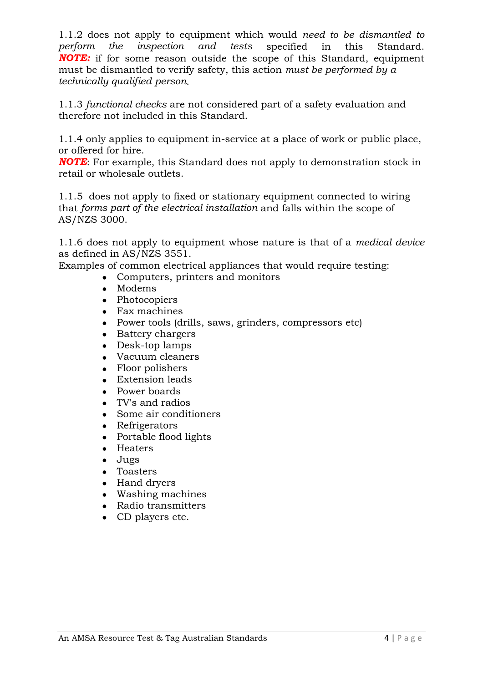1.1.2 does not apply to equipment which would *need to be dismantled to perform the inspection and tests* specified in this Standard. *NOTE:* if for some reason outside the scope of this Standard, equipment must be dismantled to verify safety, this action *must be performed by a technically qualified person*.

1.1.3 *functional checks* are not considered part of a safety evaluation and therefore not included in this Standard.

1.1.4 only applies to equipment in-service at a place of work or public place, or offered for hire.

*NOTE*: For example, this Standard does not apply to demonstration stock in retail or wholesale outlets.

1.1.5 does not apply to fixed or stationary equipment connected to wiring that *forms part of the electrical installation* and falls within the scope of AS/NZS 3000.

1.1.6 does not apply to equipment whose nature is that of a *medical device* as defined in AS/NZS 3551.

Examples of common electrical appliances that would require testing:

- Computers, printers and monitors
- Modems
- Photocopiers
- Fax machines
- Power tools (drills, saws, grinders, compressors etc)
- Battery chargers
- Desk-top lamps
- Vacuum cleaners
- Floor polishers
- Extension leads
- Power boards
- TV's and radios
- Some air conditioners
- Refrigerators
- Portable flood lights
- Heaters
- Jugs
- Toasters
- Hand dryers
- Washing machines
- Radio transmitters
- CD players etc.